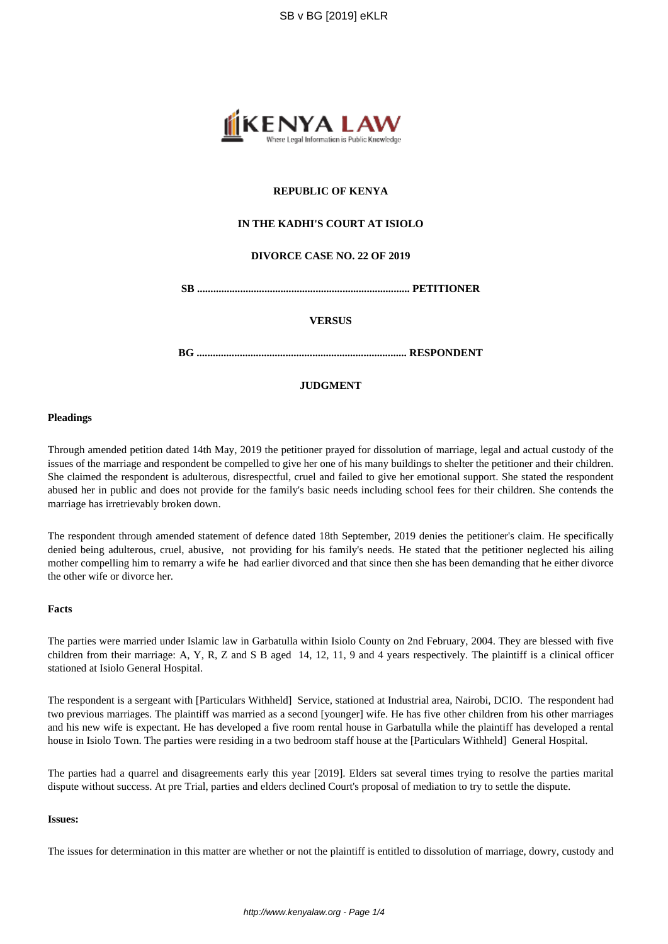

# **REPUBLIC OF KENYA**

# **IN THE KADHI'S COURT AT ISIOLO**

## **DIVORCE CASE NO. 22 OF 2019**

**SB ............................................................................... PETITIONER**

### **VERSUS**

**BG .............................................................................. RESPONDENT**

# **JUDGMENT**

### **Pleadings**

Through amended petition dated 14th May, 2019 the petitioner prayed for dissolution of marriage, legal and actual custody of the issues of the marriage and respondent be compelled to give her one of his many buildings to shelter the petitioner and their children. She claimed the respondent is adulterous, disrespectful, cruel and failed to give her emotional support. She stated the respondent abused her in public and does not provide for the family's basic needs including school fees for their children. She contends the marriage has irretrievably broken down.

The respondent through amended statement of defence dated 18th September, 2019 denies the petitioner's claim. He specifically denied being adulterous, cruel, abusive, not providing for his family's needs. He stated that the petitioner neglected his ailing mother compelling him to remarry a wife he had earlier divorced and that since then she has been demanding that he either divorce the other wife or divorce her.

## **Facts**

The parties were married under Islamic law in Garbatulla within Isiolo County on 2nd February, 2004. They are blessed with five children from their marriage: A, Y, R, Z and S B aged 14, 12, 11, 9 and 4 years respectively. The plaintiff is a clinical officer stationed at Isiolo General Hospital.

The respondent is a sergeant with [Particulars Withheld] Service, stationed at Industrial area, Nairobi, DCIO. The respondent had two previous marriages. The plaintiff was married as a second [younger] wife. He has five other children from his other marriages and his new wife is expectant. He has developed a five room rental house in Garbatulla while the plaintiff has developed a rental house in Isiolo Town. The parties were residing in a two bedroom staff house at the [Particulars Withheld] General Hospital.

The parties had a quarrel and disagreements early this year [2019]. Elders sat several times trying to resolve the parties marital dispute without success. At pre Trial, parties and elders declined Court's proposal of mediation to try to settle the dispute.

### **Issues:**

The issues for determination in this matter are whether or not the plaintiff is entitled to dissolution of marriage, dowry, custody and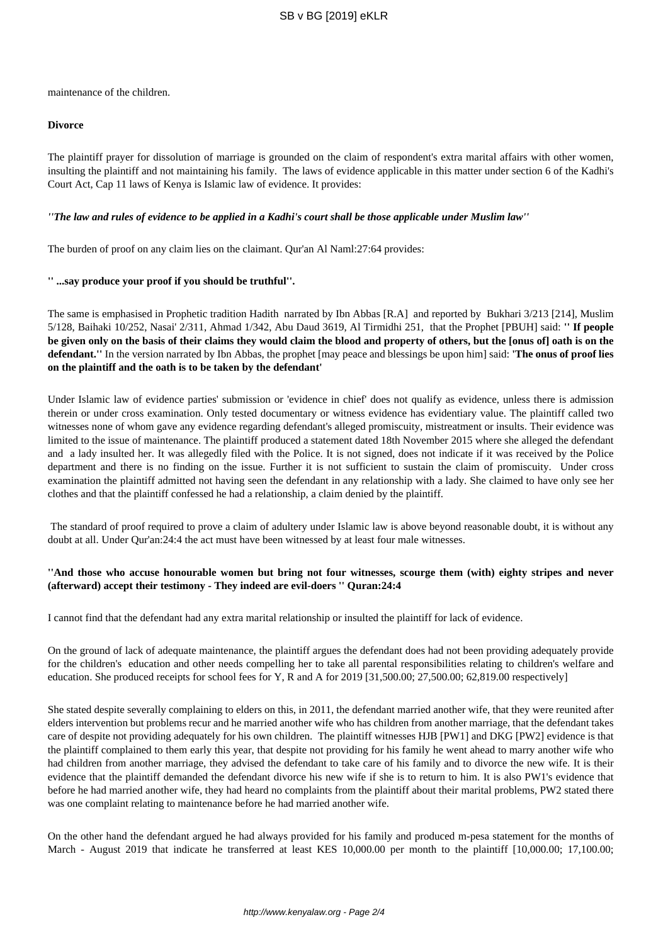maintenance of the children.

## **Divorce**

The plaintiff prayer for dissolution of marriage is grounded on the claim of respondent's extra marital affairs with other women, insulting the plaintiff and not maintaining his family. The laws of evidence applicable in this matter under section 6 of the Kadhi's Court Act, Cap 11 laws of Kenya is Islamic law of evidence. It provides:

## *''The law and rules of evidence to be applied in a Kadhi's court shall be those applicable under Muslim law''*

The burden of proof on any claim lies on the claimant. Qur'an Al Naml:27:64 provides:

## **'' ...say produce your proof if you should be truthful''.**

The same is emphasised in Prophetic tradition Hadith narrated by Ibn Abbas [R.A] and reported by Bukhari 3/213 [214], Muslim 5/128, Baihaki 10/252, Nasai' 2/311, Ahmad 1/342, Abu Daud 3619, Al Tirmidhi 251, that the Prophet [PBUH] said: **'' If people be given only on the basis of their claims they would claim the blood and property of others, but the [onus of] oath is on the defendant.''** In the version narrated by Ibn Abbas, the prophet [may peace and blessings be upon him] said: **'The onus of proof lies on the plaintiff and the oath is to be taken by the defendant'**

Under Islamic law of evidence parties' submission or 'evidence in chief' does not qualify as evidence, unless there is admission therein or under cross examination. Only tested documentary or witness evidence has evidentiary value. The plaintiff called two witnesses none of whom gave any evidence regarding defendant's alleged promiscuity, mistreatment or insults. Their evidence was limited to the issue of maintenance. The plaintiff produced a statement dated 18th November 2015 where she alleged the defendant and a lady insulted her. It was allegedly filed with the Police. It is not signed, does not indicate if it was received by the Police department and there is no finding on the issue. Further it is not sufficient to sustain the claim of promiscuity. Under cross examination the plaintiff admitted not having seen the defendant in any relationship with a lady. She claimed to have only see her clothes and that the plaintiff confessed he had a relationship, a claim denied by the plaintiff.

The standard of proof required to prove a claim of adultery under Islamic law is above beyond reasonable doubt, it is without any doubt at all. Under Qur'an:24:4 the act must have been witnessed by at least four male witnesses.

## **''And those who accuse honourable women but bring not four witnesses, scourge them (with) eighty stripes and never (afterward) accept their testimony - They indeed are evil-doers '' Quran:24:4**

I cannot find that the defendant had any extra marital relationship or insulted the plaintiff for lack of evidence.

On the ground of lack of adequate maintenance, the plaintiff argues the defendant does had not been providing adequately provide for the children's education and other needs compelling her to take all parental responsibilities relating to children's welfare and education. She produced receipts for school fees for Y, R and A for 2019 [31,500.00; 27,500.00; 62,819.00 respectively]

She stated despite severally complaining to elders on this, in 2011, the defendant married another wife, that they were reunited after elders intervention but problems recur and he married another wife who has children from another marriage, that the defendant takes care of despite not providing adequately for his own children. The plaintiff witnesses HJB [PW1] and DKG [PW2] evidence is that the plaintiff complained to them early this year, that despite not providing for his family he went ahead to marry another wife who had children from another marriage, they advised the defendant to take care of his family and to divorce the new wife. It is their evidence that the plaintiff demanded the defendant divorce his new wife if she is to return to him. It is also PW1's evidence that before he had married another wife, they had heard no complaints from the plaintiff about their marital problems, PW2 stated there was one complaint relating to maintenance before he had married another wife.

On the other hand the defendant argued he had always provided for his family and produced m-pesa statement for the months of March - August 2019 that indicate he transferred at least KES 10,000.00 per month to the plaintiff [10,000.00; 17,100.00;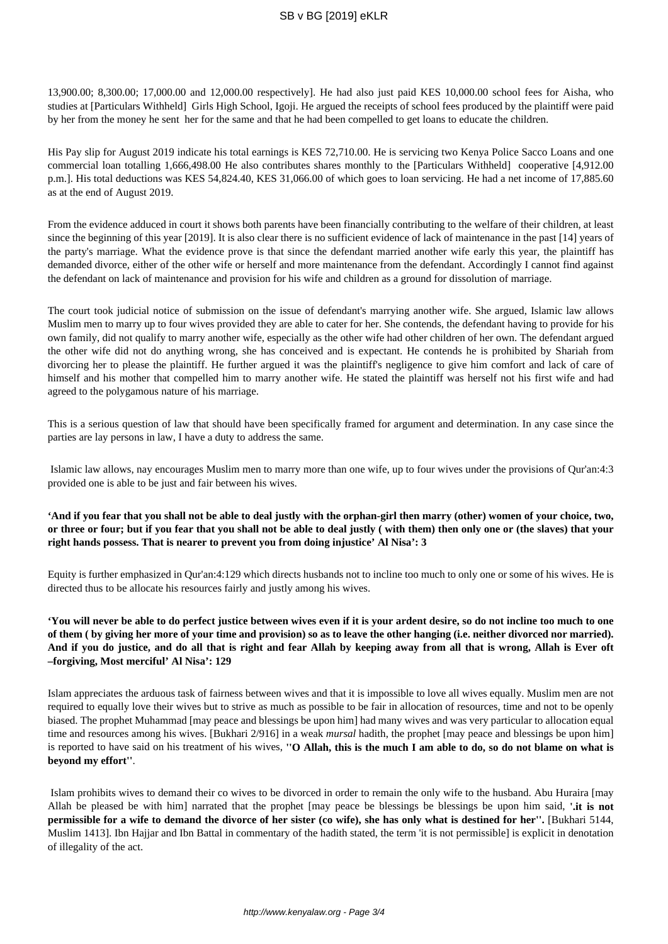13,900.00; 8,300.00; 17,000.00 and 12,000.00 respectively]. He had also just paid KES 10,000.00 school fees for Aisha, who studies at [Particulars Withheld] Girls High School, Igoji. He argued the receipts of school fees produced by the plaintiff were paid by her from the money he sent her for the same and that he had been compelled to get loans to educate the children.

His Pay slip for August 2019 indicate his total earnings is KES 72,710.00. He is servicing two Kenya Police Sacco Loans and one commercial loan totalling 1,666,498.00 He also contributes shares monthly to the [Particulars Withheld] cooperative [4,912.00 p.m.]. His total deductions was KES 54,824.40, KES 31,066.00 of which goes to loan servicing. He had a net income of 17,885.60 as at the end of August 2019.

From the evidence adduced in court it shows both parents have been financially contributing to the welfare of their children, at least since the beginning of this year [2019]. It is also clear there is no sufficient evidence of lack of maintenance in the past [14] years of the party's marriage. What the evidence prove is that since the defendant married another wife early this year, the plaintiff has demanded divorce, either of the other wife or herself and more maintenance from the defendant. Accordingly I cannot find against the defendant on lack of maintenance and provision for his wife and children as a ground for dissolution of marriage.

The court took judicial notice of submission on the issue of defendant's marrying another wife. She argued, Islamic law allows Muslim men to marry up to four wives provided they are able to cater for her. She contends, the defendant having to provide for his own family, did not qualify to marry another wife, especially as the other wife had other children of her own. The defendant argued the other wife did not do anything wrong, she has conceived and is expectant. He contends he is prohibited by Shariah from divorcing her to please the plaintiff. He further argued it was the plaintiff's negligence to give him comfort and lack of care of himself and his mother that compelled him to marry another wife. He stated the plaintiff was herself not his first wife and had agreed to the polygamous nature of his marriage.

This is a serious question of law that should have been specifically framed for argument and determination. In any case since the parties are lay persons in law, I have a duty to address the same.

Islamic law allows, nay encourages Muslim men to marry more than one wife, up to four wives under the provisions of Qur'an:4:3 provided one is able to be just and fair between his wives.

# **'And if you fear that you shall not be able to deal justly with the orphan-girl then marry (other) women of your choice, two, or three or four; but if you fear that you shall not be able to deal justly ( with them) then only one or (the slaves) that your right hands possess. That is nearer to prevent you from doing injustice' Al Nisa': 3**

Equity is further emphasized in Qur'an:4:129 which directs husbands not to incline too much to only one or some of his wives. He is directed thus to be allocate his resources fairly and justly among his wives.

**'You will never be able to do perfect justice between wives even if it is your ardent desire, so do not incline too much to one of them ( by giving her more of your time and provision) so as to leave the other hanging (i.e. neither divorced nor married). And if you do justice, and do all that is right and fear Allah by keeping away from all that is wrong, Allah is Ever oft –forgiving, Most merciful' Al Nisa': 129**

Islam appreciates the arduous task of fairness between wives and that it is impossible to love all wives equally. Muslim men are not required to equally love their wives but to strive as much as possible to be fair in allocation of resources, time and not to be openly biased. The prophet Muhammad [may peace and blessings be upon him] had many wives and was very particular to allocation equal time and resources among his wives. [Bukhari 2/916] in a weak *mursal* hadith, the prophet [may peace and blessings be upon him] is reported to have said on his treatment of his wives, **''O Allah, this is the much I am able to do, so do not blame on what is beyond my effort''**.

Islam prohibits wives to demand their co wives to be divorced in order to remain the only wife to the husband. Abu Huraira [may Allah be pleased be with him] narrated that the prophet [may peace be blessings be blessings be upon him said, **'.it is not permissible for a wife to demand the divorce of her sister (co wife), she has only what is destined for her''.** [Bukhari 5144, Muslim 1413]. Ibn Hajjar and Ibn Battal in commentary of the hadith stated, the term 'it is not permissible] is explicit in denotation of illegality of the act.